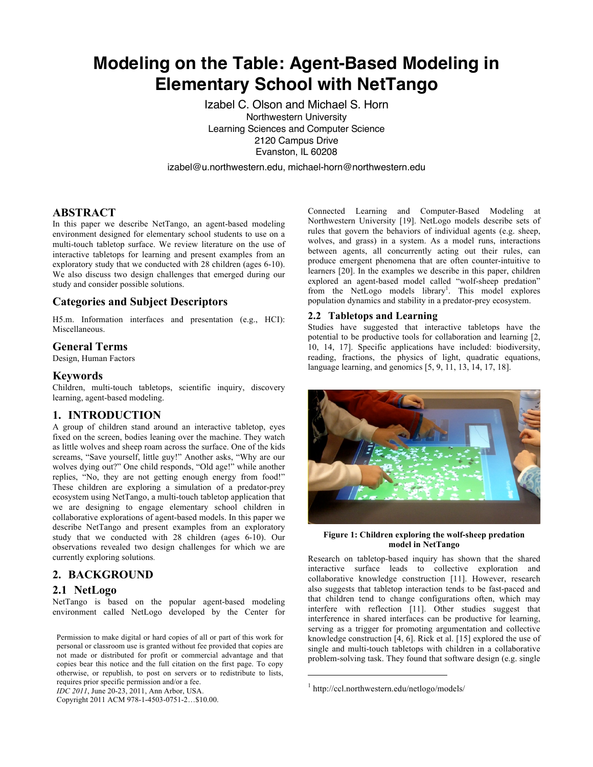# **Modeling on the Table: Agent-Based Modeling in Elementary School with NetTango**

Izabel C. Olson and Michael S. Horn Northwestern University Learning Sciences and Computer Science 2120 Campus Drive Evanston, IL 60208

izabel@u.northwestern.edu, michael-horn@northwestern.edu

# **ABSTRACT**

In this paper we describe NetTango, an agent-based modeling environment designed for elementary school students to use on a multi-touch tabletop surface. We review literature on the use of interactive tabletops for learning and present examples from an exploratory study that we conducted with 28 children (ages 6-10). We also discuss two design challenges that emerged during our study and consider possible solutions.

## **Categories and Subject Descriptors**

H5.m. Information interfaces and presentation (e.g., HCI): Miscellaneous.

## **General Terms**

Design, Human Factors

### **Keywords**

Children, multi-touch tabletops, scientific inquiry, discovery learning, agent-based modeling.

# **1. INTRODUCTION**

A group of children stand around an interactive tabletop, eyes fixed on the screen, bodies leaning over the machine. They watch as little wolves and sheep roam across the surface. One of the kids screams, "Save yourself, little guy!" Another asks, "Why are our wolves dying out?" One child responds, "Old age!" while another replies, "No, they are not getting enough energy from food!" These children are exploring a simulation of a predator-prey ecosystem using NetTango, a multi-touch tabletop application that we are designing to engage elementary school children in collaborative explorations of agent-based models. In this paper we describe NetTango and present examples from an exploratory study that we conducted with 28 children (ages 6-10). Our observations revealed two design challenges for which we are currently exploring solutions.

# **2. BACKGROUND**

### **2.1 NetLogo**

NetTango is based on the popular agent-based modeling environment called NetLogo developed by the Center for

Permission to make digital or hard copies of all or part of this work for personal or classroom use is granted without fee provided that copies are not made or distributed for profit or commercial advantage and that copies bear this notice and the full citation on the first page. To copy otherwise, or republish, to post on servers or to redistribute to lists, requires prior specific permission and/or a fee.

*IDC 2011*, June 20-23, 2011, Ann Arbor, USA.

Copyright 2011 ACM 978-1-4503-0751-2…\$10.00.

Connected Learning and Computer-Based Modeling at Northwestern University [19]. NetLogo models describe sets of rules that govern the behaviors of individual agents (e.g. sheep, wolves, and grass) in a system. As a model runs, interactions between agents, all concurrently acting out their rules, can produce emergent phenomena that are often counter-intuitive to learners [20]. In the examples we describe in this paper, children explored an agent-based model called "wolf-sheep predation" from the NetLogo models library<sup>1</sup>. This model explores population dynamics and stability in a predator-prey ecosystem.

#### **2.2 Tabletops and Learning**

Studies have suggested that interactive tabletops have the potential to be productive tools for collaboration and learning [2, 10, 14, 17]. Specific applications have included: biodiversity, reading, fractions, the physics of light, quadratic equations, language learning, and genomics [5, 9, 11, 13, 14, 17, 18].



**Figure 1: Children exploring the wolf-sheep predation model in NetTango**

Research on tabletop-based inquiry has shown that the shared interactive surface leads to collective exploration and collaborative knowledge construction [11]. However, research also suggests that tabletop interaction tends to be fast-paced and that children tend to change configurations often, which may interfere with reflection [11]. Other studies suggest that interference in shared interfaces can be productive for learning, serving as a trigger for promoting argumentation and collective knowledge construction [4, 6]. Rick et al. [15] explored the use of single and multi-touch tabletops with children in a collaborative problem-solving task. They found that software design (e.g. single

 $\overline{a}$ 

<sup>1</sup> http://ccl.northwestern.edu/netlogo/models/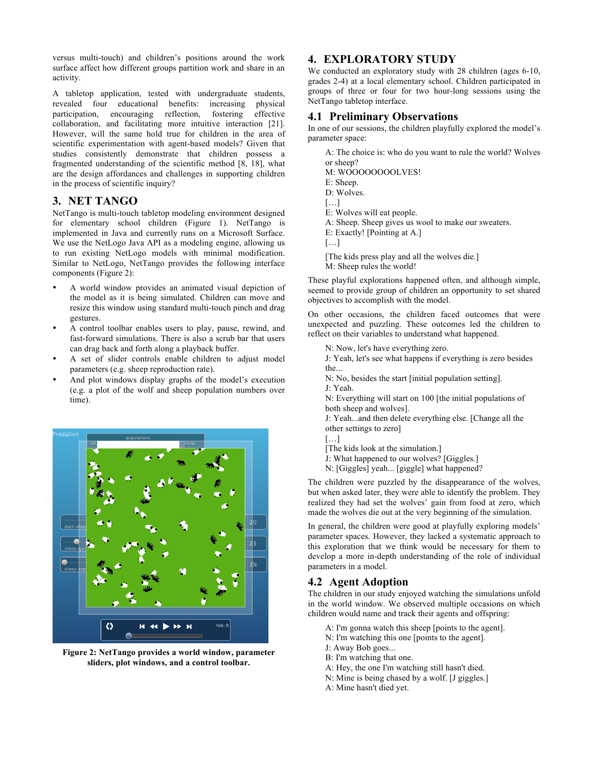versus multi-touch) and children's positions around the work surface affect how different groups partition work and share in an activity.

A tabletop application, tested with undergraduate students, revealed four educational benefits: increasing physical participation, encouraging reflection, fostering effective collaboration, and facilitating more intuitive interaction [21]. However, will the same hold true for children in the area of scientific experimentation with agent-based models? Given that studies consistently demonstrate that children possess a fragmented understanding of the scientific method [8, 18], what are the design affordances and challenges in supporting children in the process of scientific inquiry?

## **3. NET TANGO**

NetTango is multi-touch tabletop modeling environment designed for elementary school children (Figure 1). NetTango is implemented in Java and currently runs on a Microsoft Surface. We use the NetLogo Java API as a modeling engine, allowing us to run existing NetLogo models with minimal modification. Similar to NetLogo, NetTango provides the following interface components (Figure 2):

- A world window provides an animated visual depiction of the model as it is being simulated. Children can move and resize this window using standard multi-touch pinch and drag gestures.
- A control toolbar enables users to play, pause, rewind, and fast-forward simulations. There is also a scrub bar that users can drag back and forth along a playback buffer.
- A set of slider controls enable children to adjust model parameters (e.g. sheep reproduction rate).
- And plot windows display graphs of the model's execution (e.g. a plot of the wolf and sheep population numbers over time).



**Figure 2: NetTango provides a world window, parameter sliders, plot windows, and a control toolbar.**

# **4. EXPLORATORY STUDY**

We conducted an exploratory study with 28 children (ages 6-10, grades 2-4) at a local elementary school. Children participated in groups of three or four for two hour-long sessions using the NetTango tabletop interface.

## **4.1 Preliminary Observations**

In one of our sessions, the children playfully explored the model's parameter space:

- A: The choice is: who do you want to rule the world? Wolves or sheep? M: WOOOOOOOOLVES!
- E: Sheep.
- D: Wolves.
- […]
- E: Wolves will eat people.
- A: Sheep. Sheep gives us wool to make our sweaters.
- E: Exactly! [Pointing at A.]
- $[\ldots]$
- [The kids press play and all the wolves die.]
- M: Sheep rules the world!

These playful explorations happened often, and although simple, seemed to provide group of children an opportunity to set shared objectives to accomplish with the model.

On other occasions, the children faced outcomes that were unexpected and puzzling. These outcomes led the children to reflect on their variables to understand what happened.

- N: Now, let's have everything zero.
- J: Yeah, let's see what happens if everything is zero besides the.
- N: No, besides the start [initial population setting].
- J: Yeah.

N: Everything will start on 100 [the initial populations of both sheep and wolves].

J: Yeah...and then delete everything else. [Change all the other settings to zero]

- […]
- [The kids look at the simulation.]
- J: What happened to our wolves? [Giggles.]
- N: [Giggles] yeah... [giggle] what happened?

The children were puzzled by the disappearance of the wolves, but when asked later, they were able to identify the problem. They realized they had set the wolves' gain from food at zero, which made the wolves die out at the very beginning of the simulation.

In general, the children were good at playfully exploring models' parameter spaces. However, they lacked a systematic approach to this exploration that we think would be necessary for them to develop a more in-depth understanding of the role of individual parameters in a model.

# **4.2 Agent Adoption**

The children in our study enjoyed watching the simulations unfold in the world window. We observed multiple occasions on which children would name and track their agents and offspring:

- A: I'm gonna watch this sheep [points to the agent].
- N: I'm watching this one [points to the agent].
- J: Away Bob goes...
- B: I'm watching that one.
- A: Hey, the one I'm watching still hasn't died.
- N: Mine is being chased by a wolf. [J giggles.]
- A: Mine hasn't died yet.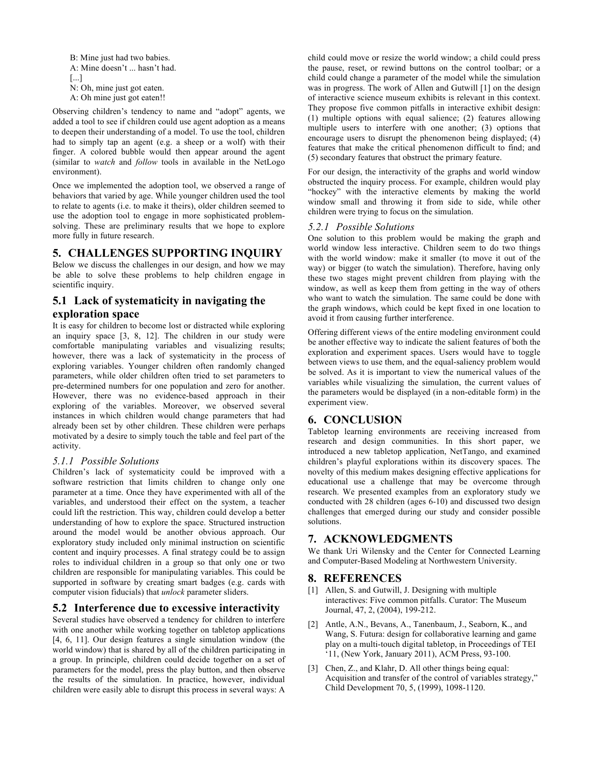B: Mine just had two babies. A: Mine doesn't ... hasn't had. [...] N: Oh, mine just got eaten. A: Oh mine just got eaten!!

Observing children's tendency to name and "adopt" agents, we added a tool to see if children could use agent adoption as a means to deepen their understanding of a model. To use the tool, children had to simply tap an agent (e.g. a sheep or a wolf) with their finger. A colored bubble would then appear around the agent (similar to *watch* and *follow* tools in available in the NetLogo environment).

Once we implemented the adoption tool, we observed a range of behaviors that varied by age. While younger children used the tool to relate to agents (i.e. to make it theirs), older children seemed to use the adoption tool to engage in more sophisticated problemsolving. These are preliminary results that we hope to explore more fully in future research.

# **5. CHALLENGES SUPPORTING INQUIRY**

Below we discuss the challenges in our design, and how we may be able to solve these problems to help children engage in scientific inquiry.

# **5.1 Lack of systematicity in navigating the exploration space**

It is easy for children to become lost or distracted while exploring an inquiry space [3, 8, 12]. The children in our study were comfortable manipulating variables and visualizing results; however, there was a lack of systematicity in the process of exploring variables. Younger children often randomly changed parameters, while older children often tried to set parameters to pre-determined numbers for one population and zero for another. However, there was no evidence-based approach in their exploring of the variables. Moreover, we observed several instances in which children would change parameters that had already been set by other children. These children were perhaps motivated by a desire to simply touch the table and feel part of the activity.

### *5.1.1 Possible Solutions*

Children's lack of systematicity could be improved with a software restriction that limits children to change only one parameter at a time. Once they have experimented with all of the variables, and understood their effect on the system, a teacher could lift the restriction. This way, children could develop a better understanding of how to explore the space. Structured instruction around the model would be another obvious approach. Our exploratory study included only minimal instruction on scientific content and inquiry processes. A final strategy could be to assign roles to individual children in a group so that only one or two children are responsible for manipulating variables. This could be supported in software by creating smart badges (e.g. cards with computer vision fiducials) that *unlock* parameter sliders.

## **5.2 Interference due to excessive interactivity**

Several studies have observed a tendency for children to interfere with one another while working together on tabletop applications [4, 6, 11]. Our design features a single simulation window (the world window) that is shared by all of the children participating in a group. In principle, children could decide together on a set of parameters for the model, press the play button, and then observe the results of the simulation. In practice, however, individual children were easily able to disrupt this process in several ways: A

child could move or resize the world window; a child could press the pause, reset, or rewind buttons on the control toolbar; or a child could change a parameter of the model while the simulation was in progress. The work of Allen and Gutwill [1] on the design of interactive science museum exhibits is relevant in this context. They propose five common pitfalls in interactive exhibit design: (1) multiple options with equal salience; (2) features allowing multiple users to interfere with one another; (3) options that encourage users to disrupt the phenomenon being displayed; (4) features that make the critical phenomenon difficult to find; and (5) secondary features that obstruct the primary feature.

For our design, the interactivity of the graphs and world window obstructed the inquiry process. For example, children would play "hockey" with the interactive elements by making the world window small and throwing it from side to side, while other children were trying to focus on the simulation.

### *5.2.1 Possible Solutions*

One solution to this problem would be making the graph and world window less interactive. Children seem to do two things with the world window: make it smaller (to move it out of the way) or bigger (to watch the simulation). Therefore, having only these two stages might prevent children from playing with the window, as well as keep them from getting in the way of others who want to watch the simulation. The same could be done with the graph windows, which could be kept fixed in one location to avoid it from causing further interference.

Offering different views of the entire modeling environment could be another effective way to indicate the salient features of both the exploration and experiment spaces. Users would have to toggle between views to use them, and the equal-saliency problem would be solved. As it is important to view the numerical values of the variables while visualizing the simulation, the current values of the parameters would be displayed (in a non-editable form) in the experiment view.

## **6. CONCLUSION**

Tabletop learning environments are receiving increased from research and design communities. In this short paper, we introduced a new tabletop application, NetTango, and examined children's playful explorations within its discovery spaces. The novelty of this medium makes designing effective applications for educational use a challenge that may be overcome through research. We presented examples from an exploratory study we conducted with 28 children (ages 6-10) and discussed two design challenges that emerged during our study and consider possible solutions.

# **7. ACKNOWLEDGMENTS**

We thank Uri Wilensky and the Center for Connected Learning and Computer-Based Modeling at Northwestern University.

## **8. REFERENCES**

- [1] Allen, S. and Gutwill, J. Designing with multiple interactives: Five common pitfalls. Curator: The Museum Journal, 47, 2, (2004), 199-212.
- [2] Antle, A.N., Bevans, A., Tanenbaum, J., Seaborn, K., and Wang, S. Futura: design for collaborative learning and game play on a multi-touch digital tabletop, in Proceedings of TEI  $11$ , (New York, January 2011), ACM Press, 93-100.
- [3] Chen, Z., and Klahr, D. All other things being equal: Acquisition and transfer of the control of variables strategy," Child Development 70, 5, (1999), 1098-1120.